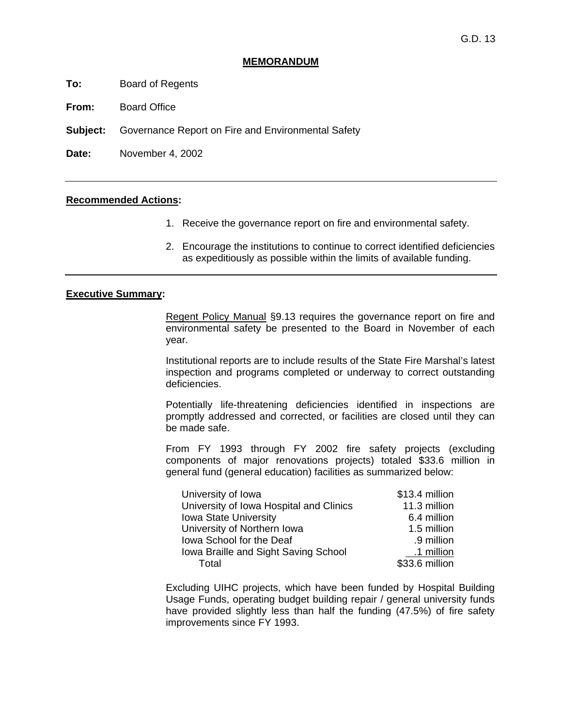### **MEMORANDUM**

- **To:** Board of Regents
- **From:** Board Office
- **Subject:** Governance Report on Fire and Environmental Safety

**Date:** November 4, 2002

### **Recommended Actions:**

- 1. Receive the governance report on fire and environmental safety.
- 2. Encourage the institutions to continue to correct identified deficiencies as expeditiously as possible within the limits of available funding.

### **Executive Summary:**

 Regent Policy Manual §9.13 requires the governance report on fire and environmental safety be presented to the Board in November of each year.

 Institutional reports are to include results of the State Fire Marshal's latest inspection and programs completed or underway to correct outstanding deficiencies.

 Potentially life-threatening deficiencies identified in inspections are promptly addressed and corrected, or facilities are closed until they can be made safe.

 From FY 1993 through FY 2002 fire safety projects (excluding components of major renovations projects) totaled \$33.6 million in general fund (general education) facilities as summarized below:

| University of Iowa                      | \$13.4 million |
|-----------------------------------------|----------------|
| University of Iowa Hospital and Clinics | 11.3 million   |
| <b>Iowa State University</b>            | 6.4 million    |
| University of Northern Iowa             | 1.5 million    |
| Iowa School for the Deaf                | .9 million     |
| Iowa Braille and Sight Saving School    | .1 million     |
| Total                                   | \$33.6 million |

 Excluding UIHC projects, which have been funded by Hospital Building Usage Funds, operating budget building repair / general university funds have provided slightly less than half the funding (47.5%) of fire safety improvements since FY 1993.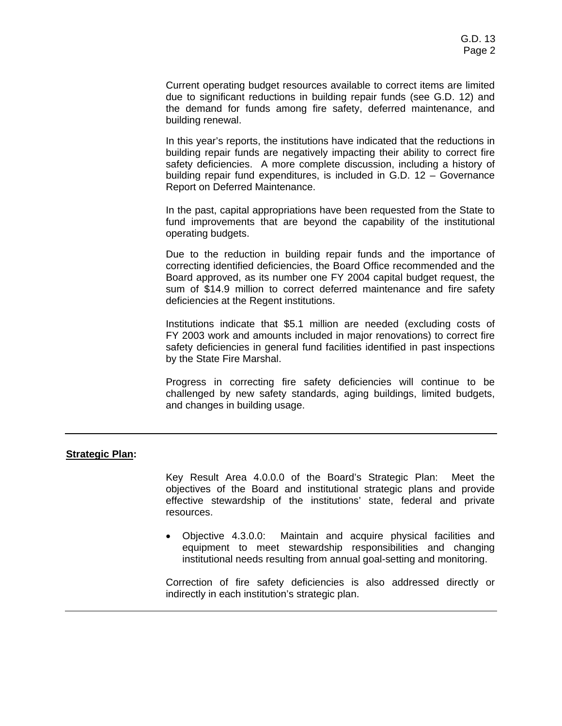Current operating budget resources available to correct items are limited due to significant reductions in building repair funds (see G.D. 12) and the demand for funds among fire safety, deferred maintenance, and building renewal.

 In this year's reports, the institutions have indicated that the reductions in building repair funds are negatively impacting their ability to correct fire safety deficiencies. A more complete discussion, including a history of building repair fund expenditures, is included in G.D. 12 – Governance Report on Deferred Maintenance.

 In the past, capital appropriations have been requested from the State to fund improvements that are beyond the capability of the institutional operating budgets.

 Due to the reduction in building repair funds and the importance of correcting identified deficiencies, the Board Office recommended and the Board approved, as its number one FY 2004 capital budget request, the sum of \$14.9 million to correct deferred maintenance and fire safety deficiencies at the Regent institutions.

 Institutions indicate that \$5.1 million are needed (excluding costs of FY 2003 work and amounts included in major renovations) to correct fire safety deficiencies in general fund facilities identified in past inspections by the State Fire Marshal.

 Progress in correcting fire safety deficiencies will continue to be challenged by new safety standards, aging buildings, limited budgets, and changes in building usage.

## **Strategic Plan:**

 Key Result Area 4.0.0.0 of the Board's Strategic Plan: Meet the objectives of the Board and institutional strategic plans and provide effective stewardship of the institutions' state, federal and private resources.

• Objective 4.3.0.0: Maintain and acquire physical facilities and equipment to meet stewardship responsibilities and changing institutional needs resulting from annual goal-setting and monitoring.

 Correction of fire safety deficiencies is also addressed directly or indirectly in each institution's strategic plan.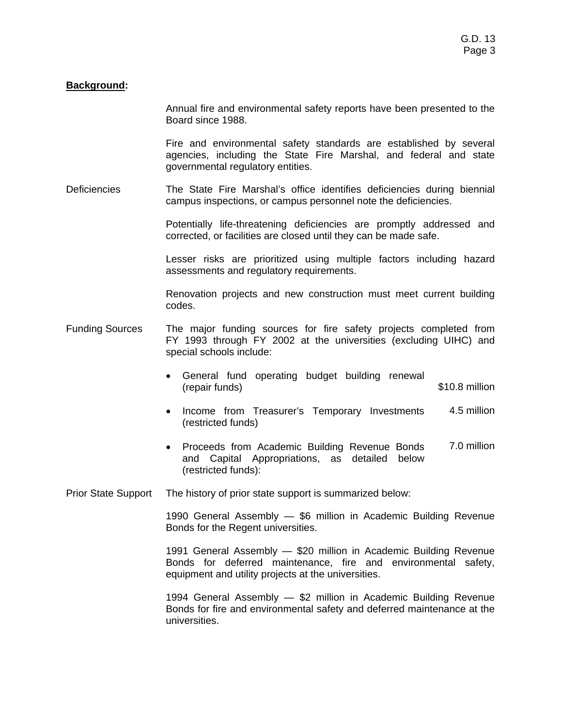# **Background:**

 Annual fire and environmental safety reports have been presented to the Board since 1988.

 Fire and environmental safety standards are established by several agencies, including the State Fire Marshal, and federal and state governmental regulatory entities.

Deficiencies The State Fire Marshal's office identifies deficiencies during biennial campus inspections, or campus personnel note the deficiencies.

> Potentially life-threatening deficiencies are promptly addressed and corrected, or facilities are closed until they can be made safe.

> Lesser risks are prioritized using multiple factors including hazard assessments and regulatory requirements.

> Renovation projects and new construction must meet current building codes.

- Funding Sources The major funding sources for fire safety projects completed from FY 1993 through FY 2002 at the universities (excluding UIHC) and special schools include:
	- General fund operating budget building renewal (repair funds) \$10.8 million
	- Income from Treasurer's Temporary Investments (restricted funds) 4.5 million
	- Proceeds from Academic Building Revenue Bonds and Capital Appropriations, as detailed below (restricted funds): 7.0 million

Prior State Support The history of prior state support is summarized below:

 1990 General Assembly — \$6 million in Academic Building Revenue Bonds for the Regent universities.

 1991 General Assembly — \$20 million in Academic Building Revenue Bonds for deferred maintenance, fire and environmental safety, equipment and utility projects at the universities.

 1994 General Assembly — \$2 million in Academic Building Revenue Bonds for fire and environmental safety and deferred maintenance at the universities.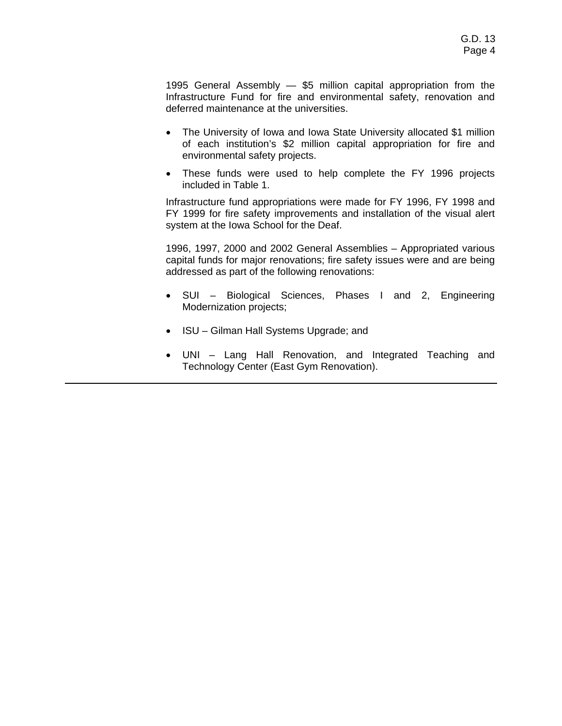1995 General Assembly — \$5 million capital appropriation from the Infrastructure Fund for fire and environmental safety, renovation and deferred maintenance at the universities.

- The University of Iowa and Iowa State University allocated \$1 million of each institution's \$2 million capital appropriation for fire and environmental safety projects.
- These funds were used to help complete the FY 1996 projects included in Table 1.

 Infrastructure fund appropriations were made for FY 1996, FY 1998 and FY 1999 for fire safety improvements and installation of the visual alert system at the Iowa School for the Deaf.

 1996, 1997, 2000 and 2002 General Assemblies – Appropriated various capital funds for major renovations; fire safety issues were and are being addressed as part of the following renovations:

- SUI Biological Sciences, Phases I and 2, Engineering Modernization projects;
- ISU Gilman Hall Systems Upgrade; and
- UNI Lang Hall Renovation, and Integrated Teaching and Technology Center (East Gym Renovation).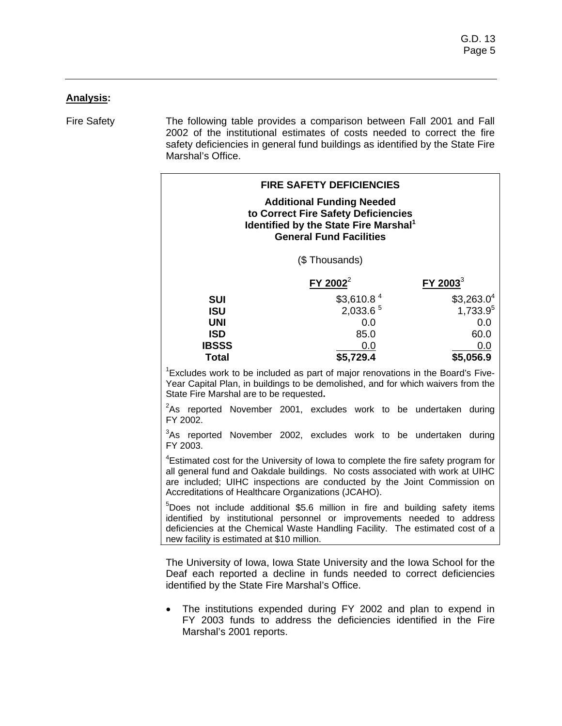# **Analysis:**

Fire Safety The following table provides a comparison between Fall 2001 and Fall 2002 of the institutional estimates of costs needed to correct the fire safety deficiencies in general fund buildings as identified by the State Fire Marshal's Office.

| <b>FIRE SAFETY DEFICIENCIES</b><br><b>Additional Funding Needed</b><br>to Correct Fire Safety Deficiencies<br>Identified by the State Fire Marshal <sup>1</sup><br><b>General Fund Facilities</b>                                                                                                                 |                                                                                                                                                   |                                                                       |  |  |  |
|-------------------------------------------------------------------------------------------------------------------------------------------------------------------------------------------------------------------------------------------------------------------------------------------------------------------|---------------------------------------------------------------------------------------------------------------------------------------------------|-----------------------------------------------------------------------|--|--|--|
|                                                                                                                                                                                                                                                                                                                   | (\$Thousands)                                                                                                                                     |                                                                       |  |  |  |
|                                                                                                                                                                                                                                                                                                                   | $FY$ 2002 <sup>2</sup>                                                                                                                            | FY 2003 <sup>3</sup>                                                  |  |  |  |
| <b>SUI</b><br><b>ISU</b><br><b>UNI</b><br><b>ISD</b><br><b>IBSSS</b><br><b>Total</b>                                                                                                                                                                                                                              | \$3,610.8 <sup>4</sup><br>2,033.6 <sup>5</sup><br>0.0<br>85.0<br>0.0<br>\$5,729.4                                                                 | \$3,263.0 <sup>4</sup><br>1,733.95<br>0.0<br>60.0<br>0.0<br>\$5,056.9 |  |  |  |
| <sup>1</sup> Excludes work to be included as part of major renovations in the Board's Five-<br>Year Capital Plan, in buildings to be demolished, and for which waivers from the<br>State Fire Marshal are to be requested.                                                                                        |                                                                                                                                                   |                                                                       |  |  |  |
| FY 2002.                                                                                                                                                                                                                                                                                                          | <sup>2</sup> As reported November 2001, excludes work to be undertaken during                                                                     |                                                                       |  |  |  |
| FY 2003.                                                                                                                                                                                                                                                                                                          | <sup>3</sup> As reported November 2002, excludes work to be undertaken during                                                                     |                                                                       |  |  |  |
| <sup>4</sup> Estimated cost for the University of lowa to complete the fire safety program for<br>all general fund and Oakdale buildings. No costs associated with work at UIHC<br>are included; UIHC inspections are conducted by the Joint Commission on<br>Accreditations of Healthcare Organizations (JCAHO). |                                                                                                                                                   |                                                                       |  |  |  |
| <sup>5</sup> Does not include additional \$5.6 million in fire and building safety items<br>identified by institutional personnel or improvements needed to address<br>deficiencies at the Chemical Waste Handling Facility. The estimated cost of a<br>new facility is estimated at \$10 million.                |                                                                                                                                                   |                                                                       |  |  |  |
| identified by the State Fire Marshal's Office.                                                                                                                                                                                                                                                                    | The University of Iowa, Iowa State University and the Iowa School for the<br>Deaf each reported a decline in funds needed to correct deficiencies |                                                                       |  |  |  |
| $\bullet$<br>Marshal's 2001 reports.                                                                                                                                                                                                                                                                              | The institutions expended during FY 2002 and plan to expend in<br>FY 2003 funds to address the deficiencies identified in the Fire                |                                                                       |  |  |  |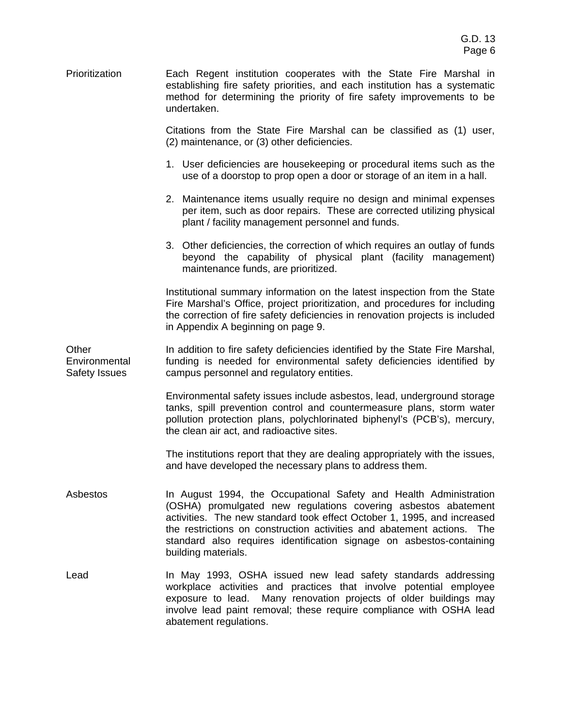Prioritization Each Regent institution cooperates with the State Fire Marshal in establishing fire safety priorities, and each institution has a systematic method for determining the priority of fire safety improvements to be undertaken.

> Citations from the State Fire Marshal can be classified as (1) user, (2) maintenance, or (3) other deficiencies.

- 1. User deficiencies are housekeeping or procedural items such as the use of a doorstop to prop open a door or storage of an item in a hall.
- 2. Maintenance items usually require no design and minimal expenses per item, such as door repairs. These are corrected utilizing physical plant / facility management personnel and funds.
- 3. Other deficiencies, the correction of which requires an outlay of funds beyond the capability of physical plant (facility management) maintenance funds, are prioritized.

 Institutional summary information on the latest inspection from the State Fire Marshal's Office, project prioritization, and procedures for including the correction of fire safety deficiencies in renovation projects is included in Appendix A beginning on page 9.

**Other Environmental** Safety Issues In addition to fire safety deficiencies identified by the State Fire Marshal, funding is needed for environmental safety deficiencies identified by campus personnel and regulatory entities.

> Environmental safety issues include asbestos, lead, underground storage tanks, spill prevention control and countermeasure plans, storm water pollution protection plans, polychlorinated biphenyl's (PCB's), mercury, the clean air act, and radioactive sites.

> The institutions report that they are dealing appropriately with the issues, and have developed the necessary plans to address them.

- Asbestos **In August 1994, the Occupational Safety and Health Administration** (OSHA) promulgated new regulations covering asbestos abatement activities. The new standard took effect October 1, 1995, and increased the restrictions on construction activities and abatement actions. The standard also requires identification signage on asbestos-containing building materials.
- Lead **In May 1993, OSHA issued new lead safety standards addressing** workplace activities and practices that involve potential employee exposure to lead. Many renovation projects of older buildings may involve lead paint removal; these require compliance with OSHA lead abatement regulations.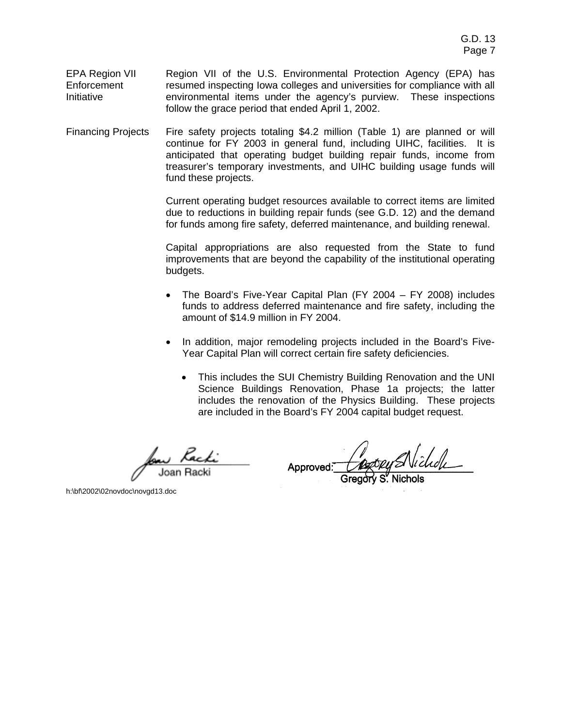- EPA Region VII **Enforcement** Initiative Region VII of the U.S. Environmental Protection Agency (EPA) has resumed inspecting Iowa colleges and universities for compliance with all environmental items under the agency's purview. These inspections follow the grace period that ended April 1, 2002.
- Financing Projects Fire safety projects totaling \$4.2 million (Table 1) are planned or will continue for FY 2003 in general fund, including UIHC, facilities. It is anticipated that operating budget building repair funds, income from treasurer's temporary investments, and UIHC building usage funds will fund these projects.

 Current operating budget resources available to correct items are limited due to reductions in building repair funds (see G.D. 12) and the demand for funds among fire safety, deferred maintenance, and building renewal.

 Capital appropriations are also requested from the State to fund improvements that are beyond the capability of the institutional operating budgets.

- The Board's Five-Year Capital Plan (FY 2004 FY 2008) includes funds to address deferred maintenance and fire safety, including the amount of \$14.9 million in FY 2004.
- In addition, major remodeling projects included in the Board's Five-Year Capital Plan will correct certain fire safety deficiencies.
	- This includes the SUI Chemistry Building Renovation and the UNI Science Buildings Renovation, Phase 1a projects; the latter includes the renovation of the Physics Building. These projects are included in the Board's FY 2004 capital budget request.

Approved: Coopy SNichole

h:\bf\2002\02novdoc\novgd13.doc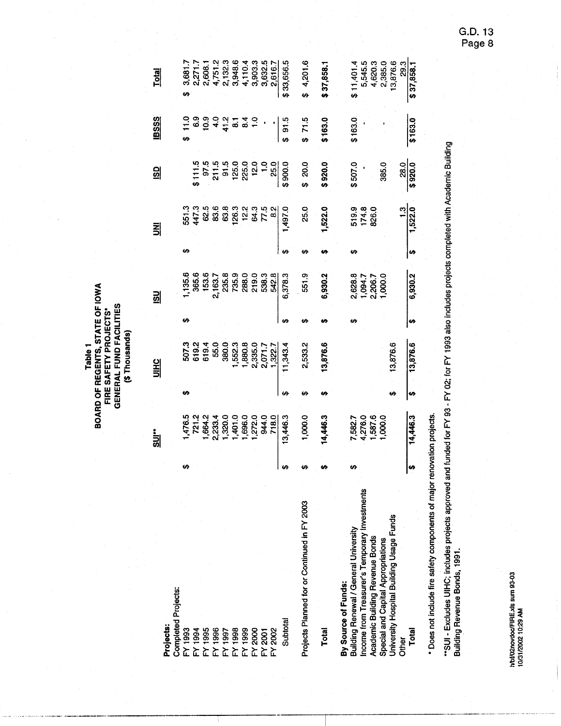**BOARD OF REGENTS, STATE OF IOWA<br>FIRE SAFETY PROJECTS\***<br>GENERAL FUND FACILITIES<br>(\$ Thousands) Table<sub>1</sub>

|                                                                                          |    | <u>.<br/>이후</u>                                                                                                                                          |    | 윏                                                             |   | <u>su</u>                                         |    | 킭                       | <u>SD</u>                                                                                                                 | <b>IBSSS</b> | <b>Total</b>                                                                |
|------------------------------------------------------------------------------------------|----|----------------------------------------------------------------------------------------------------------------------------------------------------------|----|---------------------------------------------------------------|---|---------------------------------------------------|----|-------------------------|---------------------------------------------------------------------------------------------------------------------------|--------------|-----------------------------------------------------------------------------|
| Projects:                                                                                |    |                                                                                                                                                          |    |                                                               |   |                                                   |    |                         |                                                                                                                           |              |                                                                             |
| <b>Completed Projects:</b>                                                               |    |                                                                                                                                                          |    |                                                               |   |                                                   |    |                         |                                                                                                                           |              |                                                                             |
|                                                                                          | U) |                                                                                                                                                          | ŧΑ |                                                               |   |                                                   | မာ |                         |                                                                                                                           |              | ₩                                                                           |
|                                                                                          |    |                                                                                                                                                          |    |                                                               |   |                                                   |    |                         |                                                                                                                           |              |                                                                             |
|                                                                                          |    |                                                                                                                                                          |    |                                                               |   | ,135.6<br> <br>153.6<br>                          |    |                         |                                                                                                                           |              | 3,681.7<br>2,271.7<br>2,608.1                                               |
| 388<br>1994 1995<br>1995 1996 1996<br>1996 1998 1996<br>1997 1998 1998<br>1998 1998 1998 |    | 1476.5<br>7212 333.4<br>1684.2 33.320.0<br>1 4 5 6 6 6 7 7 8 9 4 4 5 7 8 9 4 4 5 7 8 9 4 4 5 7 8 9 4 5 7 1 8 9 4 5 7 1 8 9 7 4 1 9 1 8 9 7 4 5 7 7 8 9 0 |    | ភិក្ខុមី<br>បានបន្ត<br>ដូច ក្នុង មី                           |   | 21637<br>235.9<br>235.9<br>2000 2003<br>2000 2003 |    |                         |                                                                                                                           |              |                                                                             |
|                                                                                          |    |                                                                                                                                                          |    |                                                               |   |                                                   |    |                         |                                                                                                                           |              |                                                                             |
|                                                                                          |    |                                                                                                                                                          |    |                                                               |   |                                                   |    |                         |                                                                                                                           |              |                                                                             |
|                                                                                          |    |                                                                                                                                                          |    |                                                               |   |                                                   |    |                         |                                                                                                                           |              |                                                                             |
|                                                                                          |    |                                                                                                                                                          |    |                                                               |   |                                                   |    |                         |                                                                                                                           |              |                                                                             |
|                                                                                          |    |                                                                                                                                                          |    |                                                               |   |                                                   |    |                         |                                                                                                                           |              |                                                                             |
|                                                                                          |    |                                                                                                                                                          |    | $1,552.3$<br>$1,880.8$<br>$2,335.0$<br>$2,071.7$<br>$1,322.7$ |   |                                                   |    | $554.4888834378784$     |                                                                                                                           |              | $4,751,2$<br>$2,3948,6$<br>$3,948,6$<br>$4,110,4$<br>$3,903,3$<br>$2,616,7$ |
| Subtotal                                                                                 | ŧΩ | 13,446.3                                                                                                                                                 | မာ | 1,343.4                                                       |   | 6,378.3                                           |    | 1,497.0                 | $\begin{array}{r} 5111.5 \\ 97.5 \\ 211.5 \\ 313.6 \\ 123.0 \\ -83.0 \\ -123.0 \\ -83.0 \\ 990.0 \\ 990.0 \\ \end{array}$ | \$91.5       | \$33,656.5                                                                  |
| Projects Planned for or Continued in FY 2003                                             |    | 1,000.0                                                                                                                                                  |    | 2,533.2                                                       |   | 551.9                                             |    | 25.0                    | \$20.0                                                                                                                    | 71.5         | 4,201.6                                                                     |
| <b>Total</b>                                                                             |    | 14,446.3                                                                                                                                                 |    | 13,876.6                                                      |   | 6,930.2                                           |    | 1,522.0                 | \$920.0                                                                                                                   | \$163.0      | \$37,858.1                                                                  |
| Building Renewal / General University<br>By Source of Funds:                             |    |                                                                                                                                                          |    |                                                               |   |                                                   | ₩  |                         | \$507.0                                                                                                                   | \$163.0      | \$11,401.4                                                                  |
| Income from Treasurer's Temporary Investments                                            |    | 7,582.7<br>4,276.0<br>1,587.6<br>1,000.0                                                                                                                 |    |                                                               |   | 2,628.8<br>1,094.7<br>2,206.7<br>1,000.0          |    | 519.9<br>174.8<br>826.0 |                                                                                                                           |              | 5,545.5                                                                     |
| Academic Building Revenue Bonds                                                          |    |                                                                                                                                                          |    |                                                               |   |                                                   |    |                         |                                                                                                                           |              | 4,620.3<br>2,385.0                                                          |
| Special and Capital Appropriations                                                       |    |                                                                                                                                                          |    |                                                               |   |                                                   |    |                         | 385.0                                                                                                                     |              |                                                                             |
| University Hospital Building Usage Funds<br><b>Other</b>                                 |    |                                                                                                                                                          |    | 13,876.6                                                      |   |                                                   |    |                         | 28.0                                                                                                                      |              | 3,876.6<br>29.3                                                             |
| Total                                                                                    | H  | 14,446.3                                                                                                                                                 | ₩  | 13,876.6                                                      | H | 6,930.2                                           | H) | 1,522.0                 | $\frac{1}{2}$ 920.0                                                                                                       | \$163.0      | \$37,858.1                                                                  |
|                                                                                          |    |                                                                                                                                                          |    |                                                               |   |                                                   |    |                         |                                                                                                                           |              |                                                                             |

\* Does not include fire safety components of major renovation projects.

"SUI - Excludes UIHC; includes projects approved and funded for FY 93 - FY 02; for FY 1993 also includes projects completed with Academic Building<br>Building Revenue Bonds, 1991.

h/bt/02novdoc/FIRE.xls sum 93-03<br>10/31/2002 10:29 AM

G.D. 13<br>Page 8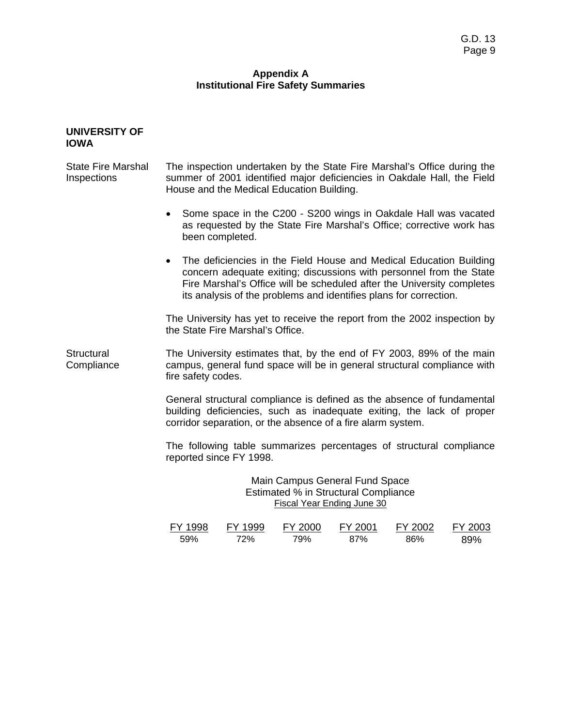# **Appendix A Institutional Fire Safety Summaries**

#### **UNIVERSITY OF IOWA**

State Fire Marshal Inspections The inspection undertaken by the State Fire Marshal's Office during the summer of 2001 identified major deficiencies in Oakdale Hall, the Field House and the Medical Education Building.

- Some space in the C200 S200 wings in Oakdale Hall was vacated as requested by the State Fire Marshal's Office; corrective work has been completed.
- The deficiencies in the Field House and Medical Education Building concern adequate exiting; discussions with personnel from the State Fire Marshal's Office will be scheduled after the University completes its analysis of the problems and identifies plans for correction.

 The University has yet to receive the report from the 2002 inspection by the State Fire Marshal's Office.

**Structural Compliance** The University estimates that, by the end of FY 2003, 89% of the main campus, general fund space will be in general structural compliance with fire safety codes.

> General structural compliance is defined as the absence of fundamental building deficiencies, such as inadequate exiting, the lack of proper corridor separation, or the absence of a fire alarm system.

> The following table summarizes percentages of structural compliance reported since FY 1998.

> > Main Campus General Fund Space Estimated % in Structural Compliance Fiscal Year Ending June 30

| FY 1998 | FY 1999 | FY 2000 | FY 2001 | FY 2002 | FY 2003 |
|---------|---------|---------|---------|---------|---------|
| 59%     | 72%     | 79%     | 87%     | 86%     | 89%     |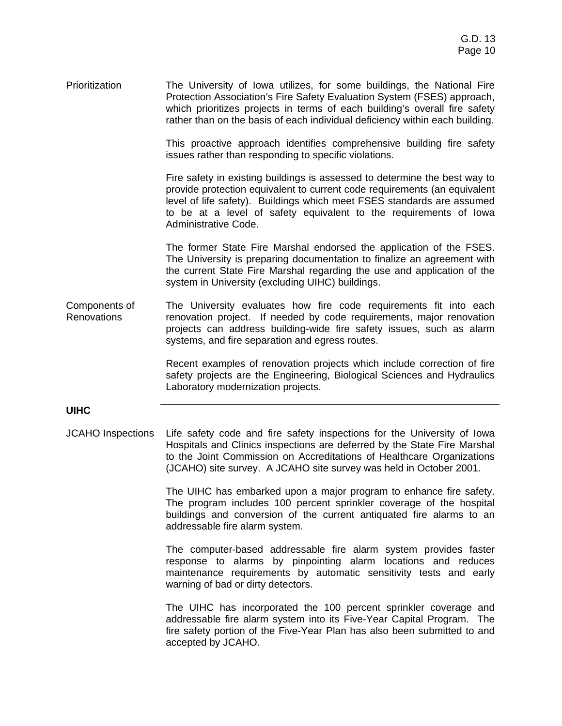Prioritization The University of Iowa utilizes, for some buildings, the National Fire Protection Association's Fire Safety Evaluation System (FSES) approach, which prioritizes projects in terms of each building's overall fire safety rather than on the basis of each individual deficiency within each building.

> This proactive approach identifies comprehensive building fire safety issues rather than responding to specific violations.

> Fire safety in existing buildings is assessed to determine the best way to provide protection equivalent to current code requirements (an equivalent level of life safety). Buildings which meet FSES standards are assumed to be at a level of safety equivalent to the requirements of Iowa Administrative Code.

> The former State Fire Marshal endorsed the application of the FSES. The University is preparing documentation to finalize an agreement with the current State Fire Marshal regarding the use and application of the system in University (excluding UIHC) buildings.

Components of **Renovations** The University evaluates how fire code requirements fit into each renovation project. If needed by code requirements, major renovation projects can address building-wide fire safety issues, such as alarm systems, and fire separation and egress routes.

> Recent examples of renovation projects which include correction of fire safety projects are the Engineering, Biological Sciences and Hydraulics Laboratory modernization projects.

# **UIHC**

JCAHO Inspections Life safety code and fire safety inspections for the University of Iowa Hospitals and Clinics inspections are deferred by the State Fire Marshal to the Joint Commission on Accreditations of Healthcare Organizations (JCAHO) site survey. A JCAHO site survey was held in October 2001.

> The UIHC has embarked upon a major program to enhance fire safety. The program includes 100 percent sprinkler coverage of the hospital buildings and conversion of the current antiquated fire alarms to an addressable fire alarm system.

> The computer-based addressable fire alarm system provides faster response to alarms by pinpointing alarm locations and reduces maintenance requirements by automatic sensitivity tests and early warning of bad or dirty detectors.

> The UIHC has incorporated the 100 percent sprinkler coverage and addressable fire alarm system into its Five-Year Capital Program. The fire safety portion of the Five-Year Plan has also been submitted to and accepted by JCAHO.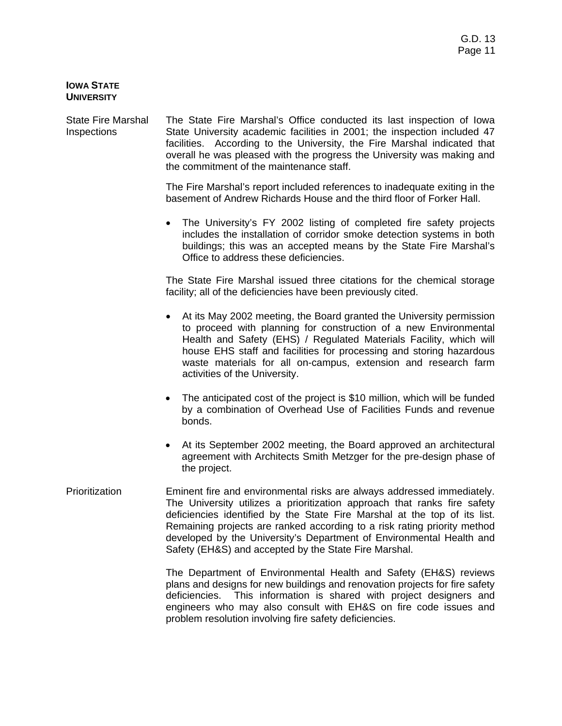# **IOWA STATE UNIVERSITY**

State Fire Marshal Inspections The State Fire Marshal's Office conducted its last inspection of Iowa State University academic facilities in 2001; the inspection included 47 facilities. According to the University, the Fire Marshal indicated that overall he was pleased with the progress the University was making and the commitment of the maintenance staff.

> The Fire Marshal's report included references to inadequate exiting in the basement of Andrew Richards House and the third floor of Forker Hall.

> • The University's FY 2002 listing of completed fire safety projects includes the installation of corridor smoke detection systems in both buildings; this was an accepted means by the State Fire Marshal's Office to address these deficiencies.

> The State Fire Marshal issued three citations for the chemical storage facility; all of the deficiencies have been previously cited.

- At its May 2002 meeting, the Board granted the University permission to proceed with planning for construction of a new Environmental Health and Safety (EHS) / Regulated Materials Facility, which will house EHS staff and facilities for processing and storing hazardous waste materials for all on-campus, extension and research farm activities of the University.
- The anticipated cost of the project is \$10 million, which will be funded by a combination of Overhead Use of Facilities Funds and revenue bonds.
- At its September 2002 meeting, the Board approved an architectural agreement with Architects Smith Metzger for the pre-design phase of the project.
- Prioritization Eminent fire and environmental risks are always addressed immediately. The University utilizes a prioritization approach that ranks fire safety deficiencies identified by the State Fire Marshal at the top of its list. Remaining projects are ranked according to a risk rating priority method developed by the University's Department of Environmental Health and Safety (EH&S) and accepted by the State Fire Marshal.

 The Department of Environmental Health and Safety (EH&S) reviews plans and designs for new buildings and renovation projects for fire safety deficiencies. This information is shared with project designers and engineers who may also consult with EH&S on fire code issues and problem resolution involving fire safety deficiencies.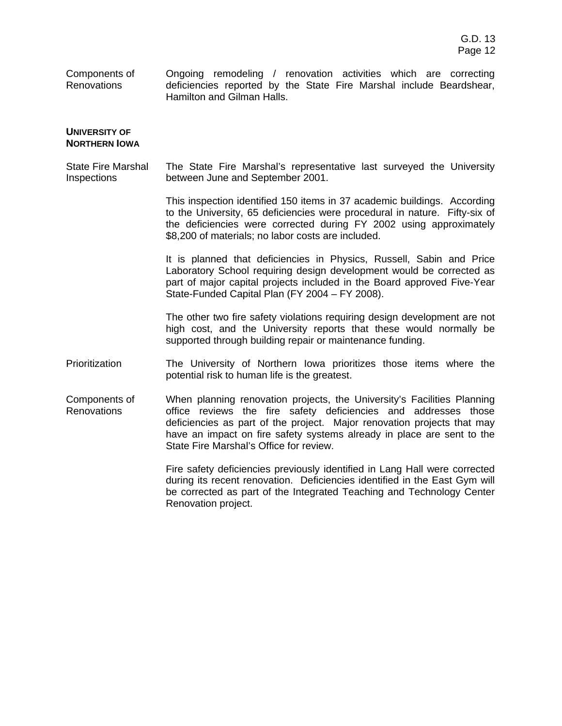Components of Renovations Ongoing remodeling / renovation activities which are correcting deficiencies reported by the State Fire Marshal include Beardshear, Hamilton and Gilman Halls.

#### **UNIVERSITY OF NORTHERN IOWA**

State Fire Marshal Inspections The State Fire Marshal's representative last surveyed the University between June and September 2001.

> This inspection identified 150 items in 37 academic buildings. According to the University, 65 deficiencies were procedural in nature. Fifty-six of the deficiencies were corrected during FY 2002 using approximately \$8,200 of materials; no labor costs are included.

> It is planned that deficiencies in Physics, Russell, Sabin and Price Laboratory School requiring design development would be corrected as part of major capital projects included in the Board approved Five-Year State-Funded Capital Plan (FY 2004 – FY 2008).

> The other two fire safety violations requiring design development are not high cost, and the University reports that these would normally be supported through building repair or maintenance funding.

- Prioritization The University of Northern Iowa prioritizes those items where the potential risk to human life is the greatest.
- Components of Renovations When planning renovation projects, the University's Facilities Planning office reviews the fire safety deficiencies and addresses those deficiencies as part of the project. Major renovation projects that may have an impact on fire safety systems already in place are sent to the State Fire Marshal's Office for review.

 Fire safety deficiencies previously identified in Lang Hall were corrected during its recent renovation. Deficiencies identified in the East Gym will be corrected as part of the Integrated Teaching and Technology Center Renovation project.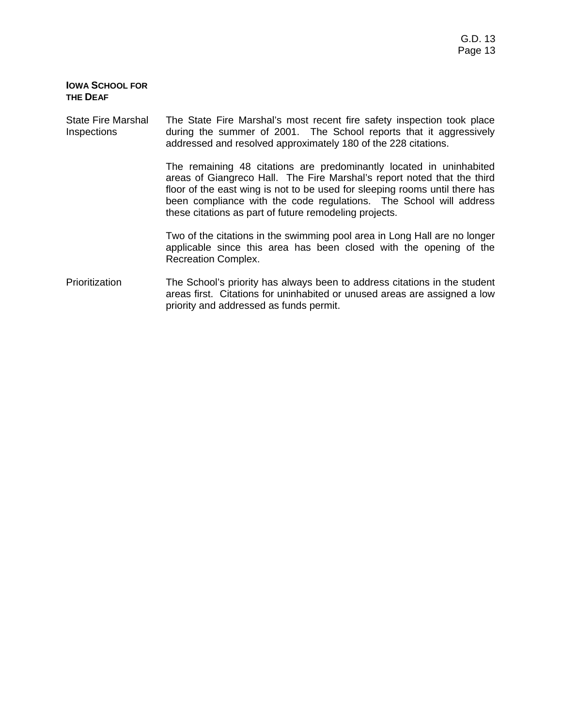# **IOWA SCHOOL FOR THE DEAF**

#### State Fire Marshal Inspections The State Fire Marshal's most recent fire safety inspection took place during the summer of 2001. The School reports that it aggressively addressed and resolved approximately 180 of the 228 citations.

 The remaining 48 citations are predominantly located in uninhabited areas of Giangreco Hall. The Fire Marshal's report noted that the third floor of the east wing is not to be used for sleeping rooms until there has been compliance with the code regulations. The School will address these citations as part of future remodeling projects.

 Two of the citations in the swimming pool area in Long Hall are no longer applicable since this area has been closed with the opening of the Recreation Complex.

Prioritization The School's priority has always been to address citations in the student areas first. Citations for uninhabited or unused areas are assigned a low priority and addressed as funds permit.